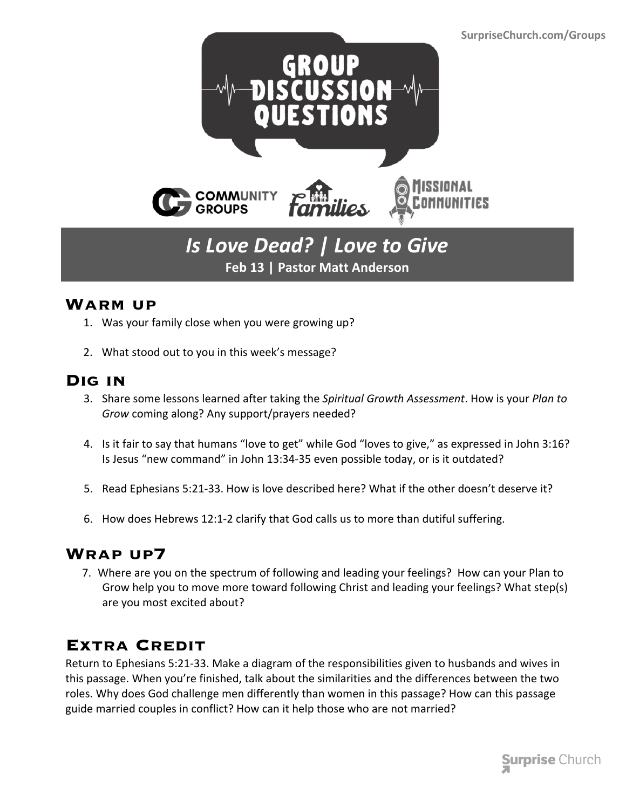

# *Is Love Dead? | Love to Give* **Feb 13 | Pastor Matt Anderson**

#### **Warm up**

- 1. Was your family close when you were growing up?
- 2. What stood out to you in this week's message?

### **Dig in**

- 3. Share some lessons learned after taking the *Spiritual Growth Assessment*. How is your *Plan to Grow* coming along? Any support/prayers needed?
- 4. Is it fair to say that humans "love to get" while God "loves to give," as expressed in John 3:16? Is Jesus "new command" in John 13:34-35 even possible today, or is it outdated?
- 5. Read Ephesians 5:21-33. How is love described here? What if the other doesn't deserve it?
- 6. How does Hebrews 12:1-2 clarify that God calls us to more than dutiful suffering.

### **Wrap up7**

 7. Where are you on the spectrum of following and leading your feelings? How can your Plan to Grow help you to move more toward following Christ and leading your feelings? What step(s) are you most excited about?

## **Extra Credit**

Return to Ephesians 5:21-33. Make a diagram of the responsibilities given to husbands and wives in this passage. When you're finished, talk about the similarities and the differences between the two roles. Why does God challenge men differently than women in this passage? How can this passage guide married couples in conflict? How can it help those who are not married?